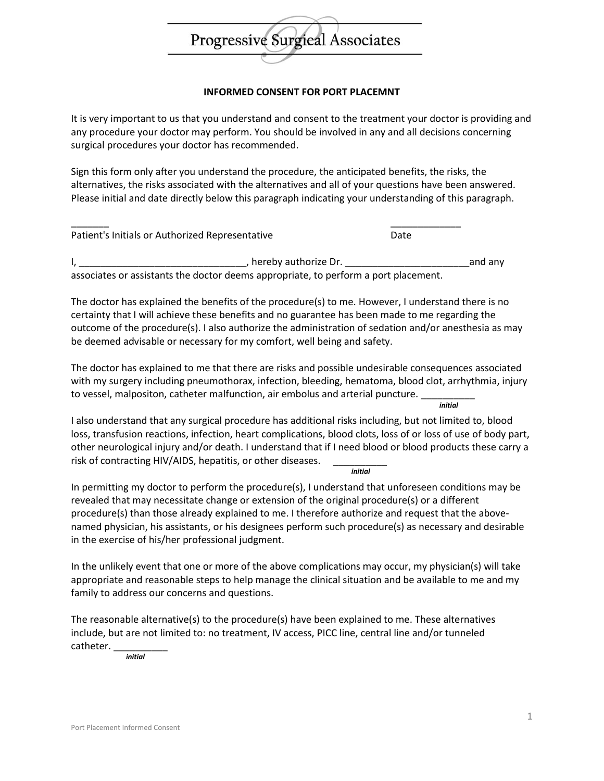

## **INFORMED CONSENT FOR PORT PLACEMNT**

It is very important to us that you understand and consent to the treatment your doctor is providing and any procedure your doctor may perform. You should be involved in any and all decisions concerning surgical procedures your doctor has recommended.

Sign this form only after you understand the procedure, the anticipated benefits, the risks, the alternatives, the risks associated with the alternatives and all of your questions have been answered. Please initial and date directly below this paragraph indicating your understanding of this paragraph.

| Patient's Initials or Authorized Representative                                     |                      | Date |         |
|-------------------------------------------------------------------------------------|----------------------|------|---------|
|                                                                                     | hereby authorize Dr. |      | and any |
| associates or assistants the doctor deems appropriate, to perform a port placement. |                      |      |         |

The doctor has explained the benefits of the procedure(s) to me. However, I understand there is no certainty that I will achieve these benefits and no guarantee has been made to me regarding the outcome of the procedure(s). I also authorize the administration of sedation and/or anesthesia as may be deemed advisable or necessary for my comfort, well being and safety.

The doctor has explained to me that there are risks and possible undesirable consequences associated with my surgery including pneumothorax, infection, bleeding, hematoma, blood clot, arrhythmia, injury to vessel, malpositon, catheter malfunction, air embolus and arterial puncture. *initial*

I also understand that any surgical procedure has additional risks including, but not limited to, blood loss, transfusion reactions, infection, heart complications, blood clots, loss of or loss of use of body part, other neurological injury and/or death. I understand that if I need blood or blood products these carry a risk of contracting HIV/AIDS, hepatitis, or other diseases. *initial*

In permitting my doctor to perform the procedure(s), I understand that unforeseen conditions may be revealed that may necessitate change or extension of the original procedure(s) or a different procedure(s) than those already explained to me. I therefore authorize and request that the abovenamed physician, his assistants, or his designees perform such procedure(s) as necessary and desirable in the exercise of his/her professional judgment.

In the unlikely event that one or more of the above complications may occur, my physician(s) will take appropriate and reasonable steps to help manage the clinical situation and be available to me and my family to address our concerns and questions.

The reasonable alternative(s) to the procedure(s) have been explained to me. These alternatives include, but are not limited to: no treatment, IV access, PICC line, central line and/or tunneled catheter.

*initial*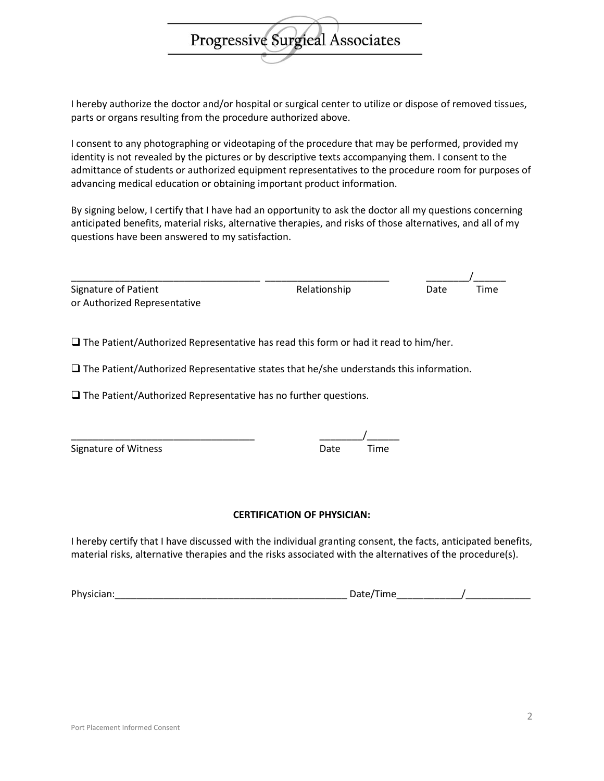I hereby authorize the doctor and/or hospital or surgical center to utilize or dispose of removed tissues, parts or organs resulting from the procedure authorized above.

Progressive Surgical Associates

I consent to any photographing or videotaping of the procedure that may be performed, provided my identity is not revealed by the pictures or by descriptive texts accompanying them. I consent to the admittance of students or authorized equipment representatives to the procedure room for purposes of advancing medical education or obtaining important product information.

By signing below, I certify that I have had an opportunity to ask the doctor all my questions concerning anticipated benefits, material risks, alternative therapies, and risks of those alternatives, and all of my questions have been answered to my satisfaction.

| Signature of Patient         | Relationship | Date | Time |
|------------------------------|--------------|------|------|
| or Authorized Representative |              |      |      |

 $\square$  The Patient/Authorized Representative has read this form or had it read to him/her.

 $\square$  The Patient/Authorized Representative states that he/she understands this information.

 $\square$  The Patient/Authorized Representative has no further questions.

| Signature of Witness | Date | Time |
|----------------------|------|------|
|                      |      |      |

## **CERTIFICATION OF PHYSICIAN:**

I hereby certify that I have discussed with the individual granting consent, the facts, anticipated benefits, material risks, alternative therapies and the risks associated with the alternatives of the procedure(s).

Physician:\_\_\_\_\_\_\_\_\_\_\_\_\_\_\_\_\_\_\_\_\_\_\_\_\_\_\_\_\_\_\_\_\_\_\_\_\_\_\_\_\_\_\_ Date/Time\_\_\_\_\_\_\_\_\_\_\_\_/\_\_\_\_\_\_\_\_\_\_\_\_

## \_\_\_\_\_\_\_\_\_\_\_\_\_\_\_\_\_\_\_\_\_\_\_\_\_\_\_\_\_\_\_\_\_\_ \_\_\_\_\_\_\_\_/\_\_\_\_\_\_